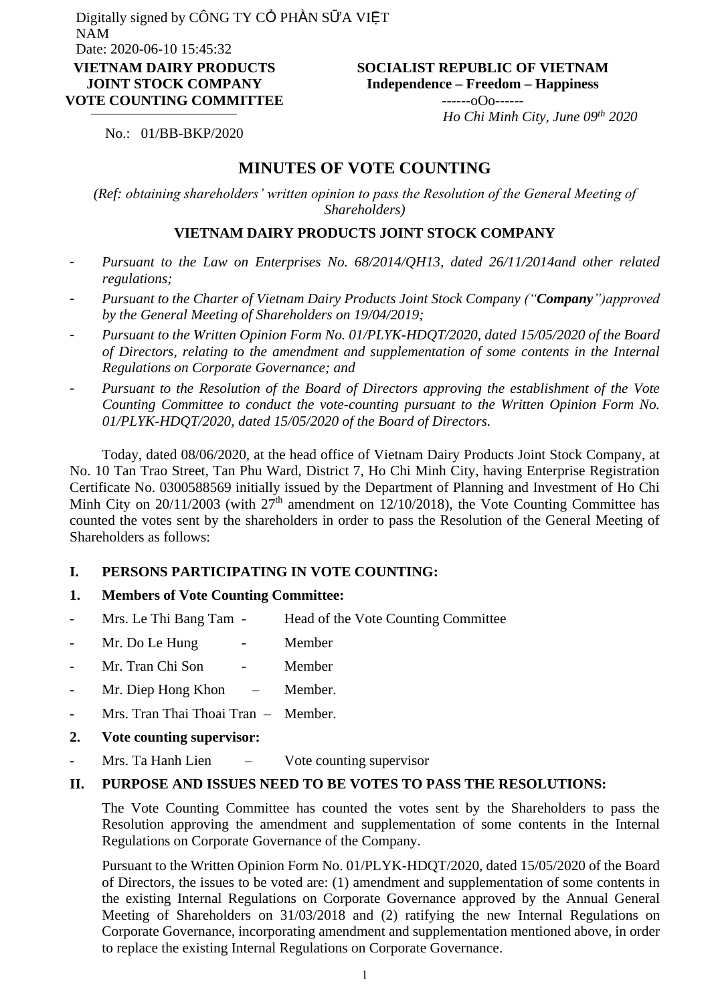#### **SOCIALIST REPUBLIC OF VIETNAM Independence – Freedom – Happiness**  $-$ ----- $0$  $0$  $0$ -------

 *Ho Chi Minh City, June 09th 2020*

No.: 01/BB-BKP/2020

## **MINUTES OF VOTE COUNTING**

*(Ref: obtaining shareholders' written opinion to pass the Resolution of the General Meeting of Shareholders)*

### **VIETNAM DAIRY PRODUCTS JOINT STOCK COMPANY**

- *Pursuant to the Law on Enterprises No. 68/2014/QH13, dated 26/11/2014and other related regulations;*
- *Pursuant to the Charter of Vietnam Dairy Products Joint Stock Company ("Company")approved by the General Meeting of Shareholders on 19/04/2019;*
- *Pursuant to the Written Opinion Form No. 01/PLYK-HDQT/2020, dated 15/05/2020 of the Board of Directors, relating to the amendment and supplementation of some contents in the Internal Regulations on Corporate Governance; and*
- *Pursuant to the Resolution of the Board of Directors approving the establishment of the Vote Counting Committee to conduct the vote-counting pursuant to the Written Opinion Form No. 01/PLYK-HDQT/2020, dated 15/05/2020 of the Board of Directors.*

Today, dated 08/06/2020, at the head office of Vietnam Dairy Products Joint Stock Company, at No. 10 Tan Trao Street, Tan Phu Ward, District 7, Ho Chi Minh City, having Enterprise Registration Certificate No. 0300588569 initially issued by the Department of Planning and Investment of Ho Chi Minh City on 20/11/2003 (with  $27<sup>th</sup>$  amendment on 12/10/2018), the Vote Counting Committee has counted the votes sent by the shareholders in order to pass the Resolution of the General Meeting of Shareholders as follows:

#### **I. PERSONS PARTICIPATING IN VOTE COUNTING:**

### **1. Members of Vote Counting Committee:**

- Mrs. Le Thi Bang Tam Head of the Vote Counting Committee
- Mr. Do Le Hung Member
- Mr. Tran Chi Son Member
- Mr. Diep Hong Khon Member.
- Mrs. Tran Thai Thoai Tran Member.
- **2. Vote counting supervisor:**
- Mrs. Ta Hanh Lien Vote counting supervisor

#### **II. PURPOSE AND ISSUES NEED TO BE VOTES TO PASS THE RESOLUTIONS:**

The Vote Counting Committee has counted the votes sent by the Shareholders to pass the Resolution approving the amendment and supplementation of some contents in the Internal Regulations on Corporate Governance of the Company.

Pursuant to the Written Opinion Form No. 01/PLYK-HDQT/2020, dated 15/05/2020 of the Board of Directors, the issues to be voted are: (1) amendment and supplementation of some contents in the existing Internal Regulations on Corporate Governance approved by the Annual General Meeting of Shareholders on 31/03/2018 and (2) ratifying the new Internal Regulations on Corporate Governance, incorporating amendment and supplementation mentioned above, in order to replace the existing Internal Regulations on Corporate Governance.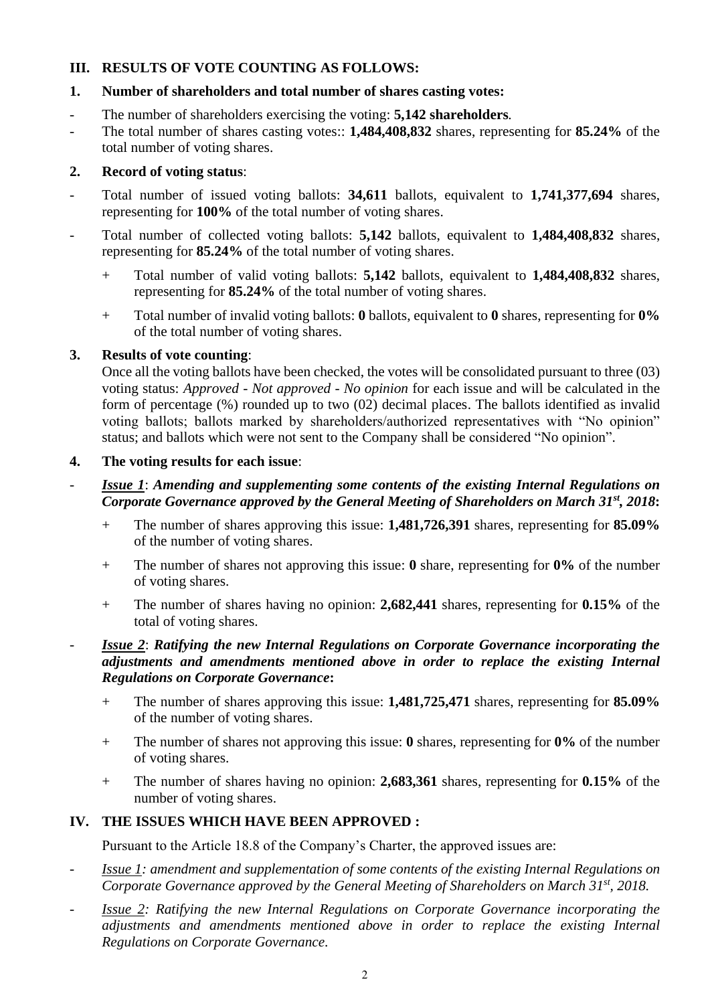### **III. RESULTS OF VOTE COUNTING AS FOLLOWS:**

## **1. Number of shareholders and total number of shares casting votes:**

- The number of shareholders exercising the voting: **5,142 shareholders***.*
- The total number of shares casting votes:: **1,484,408,832** shares, representing for **85.24%** of the total number of voting shares.

## **2. Record of voting status**:

- Total number of issued voting ballots: **34,611** ballots, equivalent to **1,741,377,694** shares, representing for **100%** of the total number of voting shares.
- Total number of collected voting ballots: **5,142** ballots, equivalent to **1,484,408,832** shares, representing for **85.24%** of the total number of voting shares.
	- + Total number of valid voting ballots: **5,142** ballots, equivalent to **1,484,408,832** shares, representing for **85.24%** of the total number of voting shares.
	- + Total number of invalid voting ballots: **0** ballots, equivalent to **0** shares, representing for **0%** of the total number of voting shares.

## **3. Results of vote counting**:

Once all the voting ballots have been checked, the votes will be consolidated pursuant to three (03) voting status: *Approved - Not approved - No opinion* for each issue and will be calculated in the form of percentage (%) rounded up to two (02) decimal places. The ballots identified as invalid voting ballots; ballots marked by shareholders/authorized representatives with "No opinion" status; and ballots which were not sent to the Company shall be considered "No opinion".

## **4. The voting results for each issue**:

## *<u>Issue 1</u>: Amending and supplementing some contents of the existing Internal Regulations on Corporate Governance approved by the General Meeting of Shareholders on March 31st, 2018***:**

- + The number of shares approving this issue: **1,481,726,391** shares, representing for **85.09%** of the number of voting shares.
- + The number of shares not approving this issue: **0** share, representing for **0%** of the number of voting shares.
- + The number of shares having no opinion: **2,682,441** shares, representing for **0.15%** of the total of voting shares.

## - *Issue 2*: *Ratifying the new Internal Regulations on Corporate Governance incorporating the adjustments and amendments mentioned above in order to replace the existing Internal Regulations on Corporate Governance***:**

- + The number of shares approving this issue: **1,481,725,471** shares, representing for **85.09%** of the number of voting shares.
- + The number of shares not approving this issue: **0** shares, representing for **0%** of the number of voting shares.
- + The number of shares having no opinion: **2,683,361** shares, representing for **0.15%** of the number of voting shares.

# **IV. THE ISSUES WHICH HAVE BEEN APPROVED :**

Pursuant to the Article 18.8 of the Company's Charter, the approved issues are:

- *Issue 1: amendment and supplementation of some contents of the existing Internal Regulations on Corporate Governance approved by the General Meeting of Shareholders on March 31st, 2018.*
- *Issue 2: Ratifying the new Internal Regulations on Corporate Governance incorporating the adjustments and amendments mentioned above in order to replace the existing Internal Regulations on Corporate Governance.*